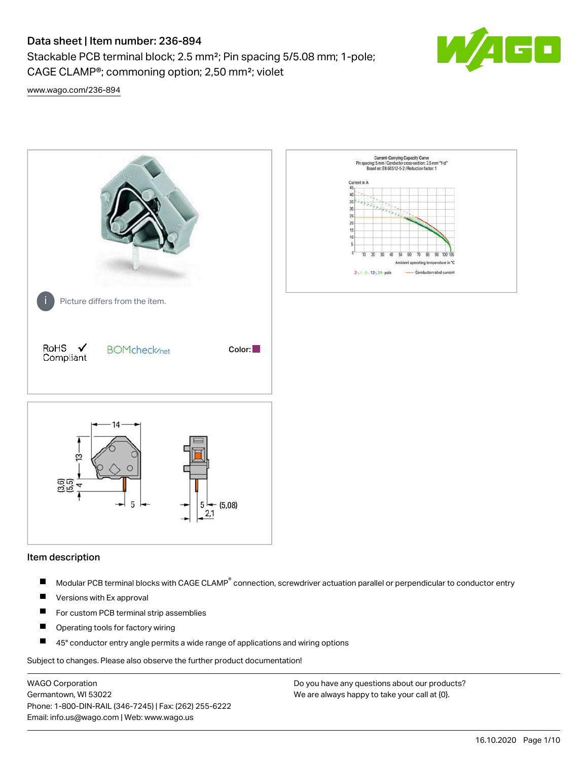Stackable PCB terminal block; 2.5 mm²; Pin spacing 5/5.08 mm; 1-pole; CAGE CLAMP®; commoning option; 2,50 mm²; violet



[www.wago.com/236-894](http://www.wago.com/236-894)



#### Item description

- Modular PCB terminal blocks with CAGE CLAMP<sup>®</sup> connection, screwdriver actuation parallel or perpendicular to conductor entry П
- $\blacksquare$ Versions with Ex approval
- П For custom PCB terminal strip assemblies
- $\blacksquare$ Operating tools for factory wiring
- $\blacksquare$ 45° conductor entry angle permits a wide range of applications and wiring options

Subject to changes. Please also observe the further product documentation!

WAGO Corporation Germantown, WI 53022 Phone: 1-800-DIN-RAIL (346-7245) | Fax: (262) 255-6222 Email: info.us@wago.com | Web: www.wago.us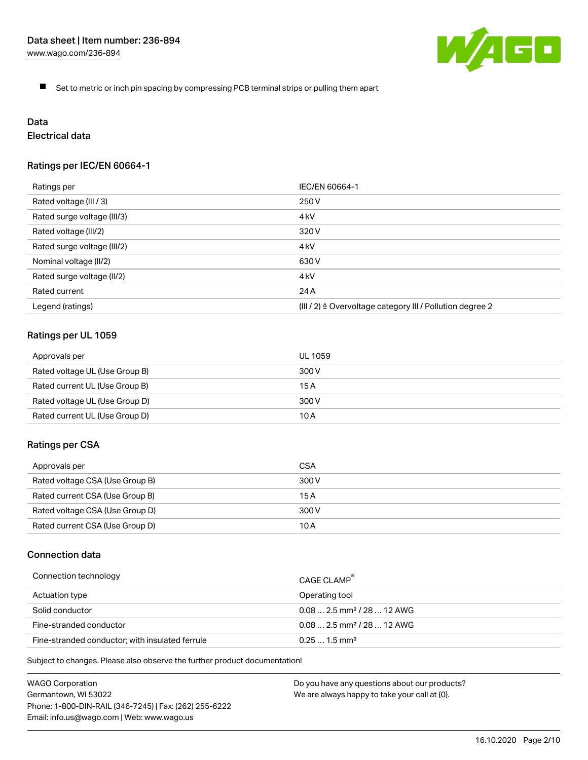

 $\blacksquare$ Set to metric or inch pin spacing by compressing PCB terminal strips or pulling them apart

# Data

# Electrical data

## Ratings per IEC/EN 60664-1

| Ratings per                 | IEC/EN 60664-1                                                        |
|-----------------------------|-----------------------------------------------------------------------|
| Rated voltage (III / 3)     | 250 V                                                                 |
| Rated surge voltage (III/3) | 4 <sub>kV</sub>                                                       |
| Rated voltage (III/2)       | 320 V                                                                 |
| Rated surge voltage (III/2) | 4 kV                                                                  |
| Nominal voltage (II/2)      | 630 V                                                                 |
| Rated surge voltage (II/2)  | 4 <sub>kV</sub>                                                       |
| Rated current               | 24 A                                                                  |
| Legend (ratings)            | $(III / 2)$ $\triangle$ Overvoltage category III / Pollution degree 2 |

### Ratings per UL 1059

| Approvals per                  | UL 1059 |
|--------------------------------|---------|
| Rated voltage UL (Use Group B) | 300 V   |
| Rated current UL (Use Group B) | 15 A    |
| Rated voltage UL (Use Group D) | 300 V   |
| Rated current UL (Use Group D) | 10 A    |

#### Ratings per CSA

| Approvals per                   | CSA   |
|---------------------------------|-------|
| Rated voltage CSA (Use Group B) | 300 V |
| Rated current CSA (Use Group B) | 15 A  |
| Rated voltage CSA (Use Group D) | 300 V |
| Rated current CSA (Use Group D) | 10 A  |

# Connection data

| Connection technology                           | CAGE CLAMP                              |
|-------------------------------------------------|-----------------------------------------|
| Actuation type                                  | Operating tool                          |
| Solid conductor                                 | $0.08$ 2.5 mm <sup>2</sup> / 28  12 AWG |
| Fine-stranded conductor                         | $0.082.5$ mm <sup>2</sup> / 28  12 AWG  |
| Fine-stranded conductor; with insulated ferrule | $0.251.5$ mm <sup>2</sup>               |

Subject to changes. Please also observe the further product documentation!

WAGO Corporation Germantown, WI 53022 Phone: 1-800-DIN-RAIL (346-7245) | Fax: (262) 255-6222 Email: info.us@wago.com | Web: www.wago.us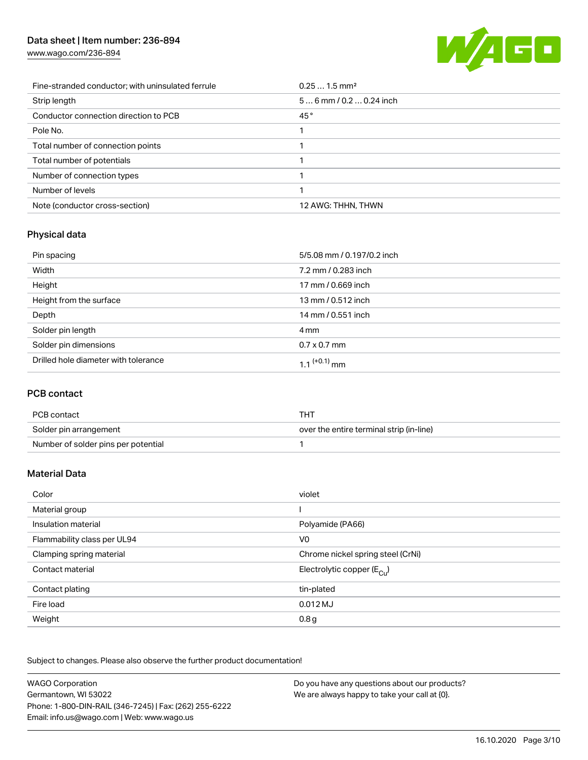[www.wago.com/236-894](http://www.wago.com/236-894)



| Fine-stranded conductor; with uninsulated ferrule | $0.251.5$ mm <sup>2</sup> |
|---------------------------------------------------|---------------------------|
| Strip length                                      | $56$ mm / 0.2  0.24 inch  |
| Conductor connection direction to PCB             | 45°                       |
| Pole No.                                          |                           |
| Total number of connection points                 |                           |
| Total number of potentials                        |                           |
| Number of connection types                        |                           |
| Number of levels                                  |                           |
| Note (conductor cross-section)                    | 12 AWG: THHN, THWN        |

# Physical data

| Pin spacing                          | 5/5.08 mm / 0.197/0.2 inch |
|--------------------------------------|----------------------------|
| Width                                | 7.2 mm / 0.283 inch        |
| Height                               | 17 mm / 0.669 inch         |
| Height from the surface              | 13 mm / 0.512 inch         |
| Depth                                | 14 mm / 0.551 inch         |
| Solder pin length                    | 4 mm                       |
| Solder pin dimensions                | $0.7 \times 0.7$ mm        |
| Drilled hole diameter with tolerance | $1.1$ <sup>(+0.1)</sup> mm |

## PCB contact

| PCB contact                         | THT                                      |
|-------------------------------------|------------------------------------------|
| Solder pin arrangement              | over the entire terminal strip (in-line) |
| Number of solder pins per potential |                                          |

## Material Data

| Color                       | violet                                |
|-----------------------------|---------------------------------------|
| Material group              |                                       |
| Insulation material         | Polyamide (PA66)                      |
| Flammability class per UL94 | V <sub>0</sub>                        |
| Clamping spring material    | Chrome nickel spring steel (CrNi)     |
| Contact material            | Electrolytic copper $(E_{\text{Cl}})$ |
| Contact plating             | tin-plated                            |
| Fire load                   | $0.012$ MJ                            |
| Weight                      | 0.8 <sub>g</sub>                      |

Subject to changes. Please also observe the further product documentation!

| <b>WAGO Corporation</b>                                | Do you have any questions about our products? |
|--------------------------------------------------------|-----------------------------------------------|
| Germantown, WI 53022                                   | We are always happy to take your call at {0}. |
| Phone: 1-800-DIN-RAIL (346-7245)   Fax: (262) 255-6222 |                                               |
| Email: info.us@wago.com   Web: www.wago.us             |                                               |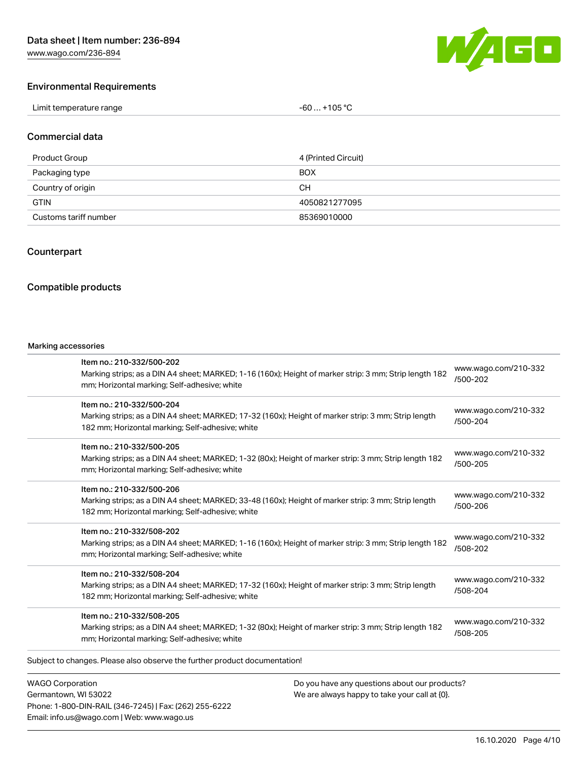[www.wago.com/236-894](http://www.wago.com/236-894)



#### Environmental Requirements

| Limit temperature range<br>. | +105 °C<br>-60 |
|------------------------------|----------------|
|------------------------------|----------------|

#### Commercial data

| Product Group         | 4 (Printed Circuit) |
|-----------------------|---------------------|
| Packaging type        | <b>BOX</b>          |
| Country of origin     | CН                  |
| <b>GTIN</b>           | 4050821277095       |
| Customs tariff number | 85369010000         |

#### Counterpart

#### Compatible products

#### Marking accessories

| Item no.: 210-332/500-202<br>Marking strips; as a DIN A4 sheet; MARKED; 1-16 (160x); Height of marker strip: 3 mm; Strip length 182<br>mm; Horizontal marking; Self-adhesive; white  | www.wago.com/210-332<br>/500-202 |
|--------------------------------------------------------------------------------------------------------------------------------------------------------------------------------------|----------------------------------|
| Item no.: 210-332/500-204<br>Marking strips; as a DIN A4 sheet; MARKED; 17-32 (160x); Height of marker strip: 3 mm; Strip length<br>182 mm; Horizontal marking; Self-adhesive; white | www.wago.com/210-332<br>/500-204 |
| Item no.: 210-332/500-205<br>Marking strips; as a DIN A4 sheet; MARKED; 1-32 (80x); Height of marker strip: 3 mm; Strip length 182<br>mm; Horizontal marking; Self-adhesive; white   | www.wago.com/210-332<br>/500-205 |
| Item no.: 210-332/500-206<br>Marking strips; as a DIN A4 sheet; MARKED; 33-48 (160x); Height of marker strip: 3 mm; Strip length<br>182 mm; Horizontal marking; Self-adhesive; white | www.wago.com/210-332<br>/500-206 |
| Item no.: 210-332/508-202<br>Marking strips; as a DIN A4 sheet; MARKED; 1-16 (160x); Height of marker strip: 3 mm; Strip length 182<br>mm; Horizontal marking; Self-adhesive; white  | www.wago.com/210-332<br>/508-202 |
| Item no.: 210-332/508-204<br>Marking strips; as a DIN A4 sheet; MARKED; 17-32 (160x); Height of marker strip: 3 mm; Strip length<br>182 mm; Horizontal marking; Self-adhesive; white | www.wago.com/210-332<br>/508-204 |
| Item no.: 210-332/508-205<br>Marking strips; as a DIN A4 sheet; MARKED; 1-32 (80x); Height of marker strip: 3 mm; Strip length 182<br>mm; Horizontal marking; Self-adhesive; white   | www.wago.com/210-332<br>/508-205 |
| Subject to changes. Please also observe the further product documentation!                                                                                                           |                                  |

WAGO Corporation Germantown, WI 53022 Phone: 1-800-DIN-RAIL (346-7245) | Fax: (262) 255-6222 Email: info.us@wago.com | Web: www.wago.us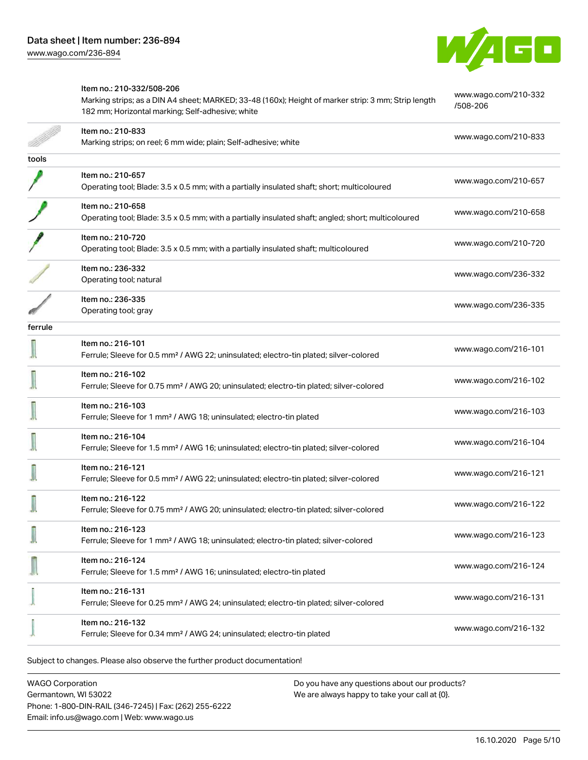

|         | Item no.: 210-332/508-206<br>Marking strips; as a DIN A4 sheet; MARKED; 33-48 (160x); Height of marker strip: 3 mm; Strip length<br>182 mm; Horizontal marking; Self-adhesive; white | www.wago.com/210-332<br>/508-206 |
|---------|--------------------------------------------------------------------------------------------------------------------------------------------------------------------------------------|----------------------------------|
|         | Item no.: 210-833<br>Marking strips; on reel; 6 mm wide; plain; Self-adhesive; white                                                                                                 | www.wago.com/210-833             |
| tools   |                                                                                                                                                                                      |                                  |
|         | Item no.: 210-657<br>Operating tool; Blade: 3.5 x 0.5 mm; with a partially insulated shaft; short; multicoloured                                                                     | www.wago.com/210-657             |
|         | Item no.: 210-658<br>Operating tool; Blade: 3.5 x 0.5 mm; with a partially insulated shaft; angled; short; multicoloured                                                             | www.wago.com/210-658             |
|         | Item no.: 210-720<br>Operating tool; Blade: 3.5 x 0.5 mm; with a partially insulated shaft; multicoloured                                                                            | www.wago.com/210-720             |
|         | Item no.: 236-332<br>Operating tool; natural                                                                                                                                         | www.wago.com/236-332             |
|         | Item no.: 236-335<br>Operating tool; gray                                                                                                                                            | www.wago.com/236-335             |
| ferrule |                                                                                                                                                                                      |                                  |
|         | Item no.: 216-101<br>Ferrule; Sleeve for 0.5 mm <sup>2</sup> / AWG 22; uninsulated; electro-tin plated; silver-colored                                                               | www.wago.com/216-101             |
|         | Item no.: 216-102<br>Ferrule; Sleeve for 0.75 mm <sup>2</sup> / AWG 20; uninsulated; electro-tin plated; silver-colored                                                              | www.wago.com/216-102             |
|         | Item no.: 216-103<br>Ferrule; Sleeve for 1 mm <sup>2</sup> / AWG 18; uninsulated; electro-tin plated                                                                                 | www.wago.com/216-103             |
|         | Item no.: 216-104<br>Ferrule; Sleeve for 1.5 mm <sup>2</sup> / AWG 16; uninsulated; electro-tin plated; silver-colored                                                               | www.wago.com/216-104             |
|         | Item no.: 216-121<br>Ferrule; Sleeve for 0.5 mm <sup>2</sup> / AWG 22; uninsulated; electro-tin plated; silver-colored                                                               | www.wago.com/216-121             |
|         | Item no.: 216-122<br>Ferrule; Sleeve for 0.75 mm <sup>2</sup> / AWG 20; uninsulated; electro-tin plated; silver-colored                                                              | www.wago.com/216-122             |
|         | Item no.: 216-123<br>Ferrule; Sleeve for 1 mm <sup>2</sup> / AWG 18; uninsulated; electro-tin plated; silver-colored                                                                 | www.wago.com/216-123             |
|         | Item no.: 216-124<br>Ferrule; Sleeve for 1.5 mm <sup>2</sup> / AWG 16; uninsulated; electro-tin plated                                                                               | www.wago.com/216-124             |
|         | Item no.: 216-131<br>Ferrule; Sleeve for 0.25 mm <sup>2</sup> / AWG 24; uninsulated; electro-tin plated; silver-colored                                                              | www.wago.com/216-131             |
|         | Item no.: 216-132<br>Ferrule; Sleeve for 0.34 mm <sup>2</sup> / AWG 24; uninsulated; electro-tin plated                                                                              | www.wago.com/216-132             |
|         |                                                                                                                                                                                      |                                  |

Subject to changes. Please also observe the further product documentation!

WAGO Corporation Germantown, WI 53022 Phone: 1-800-DIN-RAIL (346-7245) | Fax: (262) 255-6222 Email: info.us@wago.com | Web: www.wago.us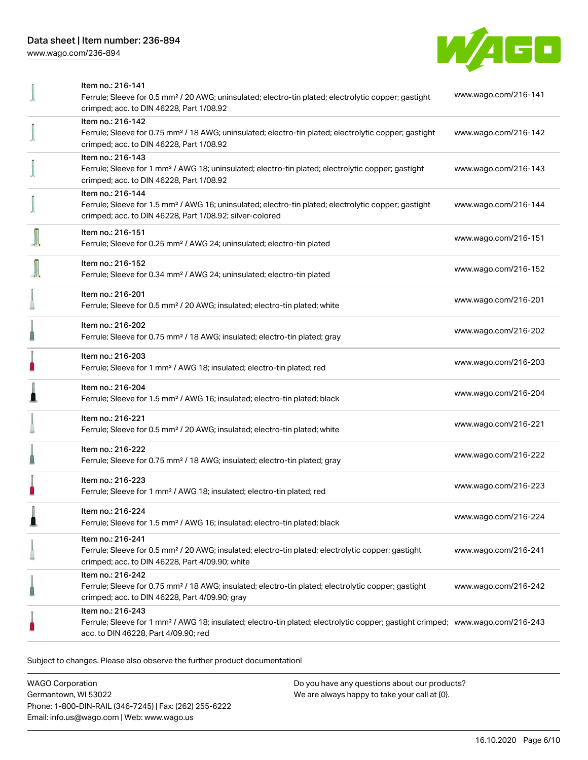[www.wago.com/236-894](http://www.wago.com/236-894)



| Item no.: 216-141                                                                                                                                            |                      |
|--------------------------------------------------------------------------------------------------------------------------------------------------------------|----------------------|
| Ferrule; Sleeve for 0.5 mm <sup>2</sup> / 20 AWG; uninsulated; electro-tin plated; electrolytic copper; gastight<br>crimped; acc. to DIN 46228, Part 1/08.92 | www.wago.com/216-141 |
| Item no.: 216-142                                                                                                                                            |                      |
| Ferrule; Sleeve for 0.75 mm <sup>2</sup> / 18 AWG; uninsulated; electro-tin plated; electrolytic copper; gastight                                            | www.wago.com/216-142 |
| crimped; acc. to DIN 46228, Part 1/08.92                                                                                                                     |                      |
| Item no.: 216-143                                                                                                                                            |                      |
| Ferrule; Sleeve for 1 mm <sup>2</sup> / AWG 18; uninsulated; electro-tin plated; electrolytic copper; gastight                                               | www.wago.com/216-143 |
| crimped; acc. to DIN 46228, Part 1/08.92                                                                                                                     |                      |
| Item no.: 216-144                                                                                                                                            |                      |
| Ferrule; Sleeve for 1.5 mm <sup>2</sup> / AWG 16; uninsulated; electro-tin plated; electrolytic copper; gastight                                             | www.wago.com/216-144 |
| crimped; acc. to DIN 46228, Part 1/08.92; silver-colored                                                                                                     |                      |
| Item no.: 216-151                                                                                                                                            |                      |
| Ferrule; Sleeve for 0.25 mm <sup>2</sup> / AWG 24; uninsulated; electro-tin plated                                                                           | www.wago.com/216-151 |
| Item no.: 216-152                                                                                                                                            |                      |
| Ferrule; Sleeve for 0.34 mm <sup>2</sup> / AWG 24; uninsulated; electro-tin plated                                                                           | www.wago.com/216-152 |
|                                                                                                                                                              |                      |
| Item no.: 216-201                                                                                                                                            | www.wago.com/216-201 |
| Ferrule; Sleeve for 0.5 mm <sup>2</sup> / 20 AWG; insulated; electro-tin plated; white                                                                       |                      |
| Item no.: 216-202                                                                                                                                            |                      |
| Ferrule; Sleeve for 0.75 mm <sup>2</sup> / 18 AWG; insulated; electro-tin plated; gray                                                                       | www.wago.com/216-202 |
| Item no.: 216-203                                                                                                                                            |                      |
| Ferrule; Sleeve for 1 mm <sup>2</sup> / AWG 18; insulated; electro-tin plated; red                                                                           | www.wago.com/216-203 |
|                                                                                                                                                              |                      |
| Item no.: 216-204                                                                                                                                            | www.wago.com/216-204 |
| Ferrule; Sleeve for 1.5 mm <sup>2</sup> / AWG 16; insulated; electro-tin plated; black                                                                       |                      |
| Item no.: 216-221                                                                                                                                            |                      |
| Ferrule; Sleeve for 0.5 mm <sup>2</sup> / 20 AWG; insulated; electro-tin plated; white                                                                       | www.wago.com/216-221 |
| Item no.: 216-222                                                                                                                                            |                      |
| Ferrule; Sleeve for 0.75 mm <sup>2</sup> / 18 AWG; insulated; electro-tin plated; gray                                                                       | www.wago.com/216-222 |
|                                                                                                                                                              |                      |
| Item no.: 216-223                                                                                                                                            | www.wago.com/216-223 |
| Ferrule; Sleeve for 1 mm <sup>2</sup> / AWG 18; insulated; electro-tin plated; red                                                                           |                      |
| Item no: 216-224                                                                                                                                             |                      |
| Ferrule; Sleeve for 1.5 mm <sup>2</sup> / AWG 16; insulated; electro-tin plated; black                                                                       | www.wago.com/216-224 |
| Item no.: 216-241                                                                                                                                            |                      |
| Ferrule; Sleeve for 0.5 mm <sup>2</sup> / 20 AWG; insulated; electro-tin plated; electrolytic copper; gastight                                               | www.wago.com/216-241 |
| crimped; acc. to DIN 46228, Part 4/09.90; white                                                                                                              |                      |
| Item no.: 216-242                                                                                                                                            |                      |
| Ferrule; Sleeve for 0.75 mm <sup>2</sup> / 18 AWG; insulated; electro-tin plated; electrolytic copper; gastight                                              | www.wago.com/216-242 |
| crimped; acc. to DIN 46228, Part 4/09.90; gray                                                                                                               |                      |
| Item no.: 216-243                                                                                                                                            |                      |
| Ferrule; Sleeve for 1 mm <sup>2</sup> / AWG 18; insulated; electro-tin plated; electrolytic copper; gastight crimped; www.wago.com/216-243                   |                      |
| acc. to DIN 46228, Part 4/09.90; red                                                                                                                         |                      |
|                                                                                                                                                              |                      |

Subject to changes. Please also observe the further product documentation!

WAGO Corporation Germantown, WI 53022 Phone: 1-800-DIN-RAIL (346-7245) | Fax: (262) 255-6222 Email: info.us@wago.com | Web: www.wago.us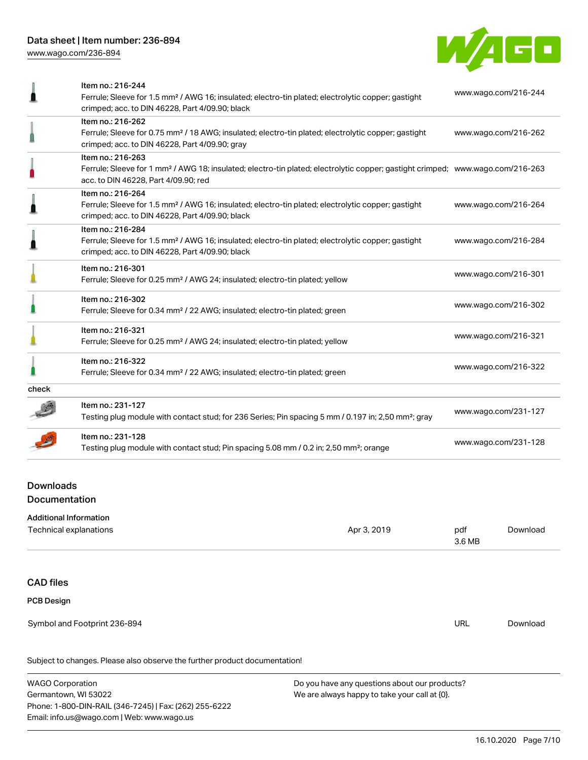[www.wago.com/236-894](http://www.wago.com/236-894)



|       | Item no.: 216-244<br>Ferrule; Sleeve for 1.5 mm <sup>2</sup> / AWG 16; insulated; electro-tin plated; electrolytic copper; gastight                                                | www.wago.com/216-244 |  |
|-------|------------------------------------------------------------------------------------------------------------------------------------------------------------------------------------|----------------------|--|
|       | crimped; acc. to DIN 46228, Part 4/09.90; black                                                                                                                                    |                      |  |
|       | Item no.: 216-262                                                                                                                                                                  |                      |  |
|       | Ferrule; Sleeve for 0.75 mm <sup>2</sup> / 18 AWG; insulated; electro-tin plated; electrolytic copper; gastight<br>crimped; acc. to DIN 46228, Part 4/09.90; gray                  | www.wago.com/216-262 |  |
|       | Item no.: 216-263                                                                                                                                                                  |                      |  |
|       | Ferrule; Sleeve for 1 mm <sup>2</sup> / AWG 18; insulated; electro-tin plated; electrolytic copper; gastight crimped; www.wago.com/216-263<br>acc. to DIN 46228, Part 4/09.90; red |                      |  |
|       | Item no.: 216-264                                                                                                                                                                  |                      |  |
|       | Ferrule; Sleeve for 1.5 mm <sup>2</sup> / AWG 16; insulated; electro-tin plated; electrolytic copper; gastight<br>crimped; acc. to DIN 46228, Part 4/09.90; black                  | www.wago.com/216-264 |  |
|       | Item no.: 216-284                                                                                                                                                                  |                      |  |
|       | Ferrule; Sleeve for 1.5 mm <sup>2</sup> / AWG 16; insulated; electro-tin plated; electrolytic copper; gastight                                                                     | www.wago.com/216-284 |  |
|       | crimped; acc. to DIN 46228, Part 4/09.90; black                                                                                                                                    |                      |  |
|       | Item no.: 216-301                                                                                                                                                                  | www.wago.com/216-301 |  |
|       | Ferrule; Sleeve for 0.25 mm <sup>2</sup> / AWG 24; insulated; electro-tin plated; yellow                                                                                           |                      |  |
|       | Item no.: 216-302                                                                                                                                                                  |                      |  |
|       | Ferrule; Sleeve for 0.34 mm <sup>2</sup> / 22 AWG; insulated; electro-tin plated; green                                                                                            | www.wago.com/216-302 |  |
|       | Item no.: 216-321                                                                                                                                                                  |                      |  |
|       | Ferrule; Sleeve for 0.25 mm <sup>2</sup> / AWG 24; insulated; electro-tin plated; yellow                                                                                           | www.wago.com/216-321 |  |
|       | Item no.: 216-322                                                                                                                                                                  |                      |  |
|       | Ferrule; Sleeve for 0.34 mm <sup>2</sup> / 22 AWG; insulated; electro-tin plated; green                                                                                            | www.wago.com/216-322 |  |
| check |                                                                                                                                                                                    |                      |  |
|       | Item no.: 231-127                                                                                                                                                                  |                      |  |
|       | Testing plug module with contact stud; for 236 Series; Pin spacing 5 mm / 0.197 in; 2,50 mm <sup>2</sup> ; gray                                                                    | www.wago.com/231-127 |  |
|       | Item no.: 231-128                                                                                                                                                                  | www.wago.com/231-128 |  |
|       | Testing plug module with contact stud; Pin spacing 5.08 mm / 0.2 in; 2,50 mm <sup>2</sup> ; orange                                                                                 |                      |  |
|       |                                                                                                                                                                                    |                      |  |

# Downloads Documentation

| <b>Additional Information</b>                                              |             |               |          |
|----------------------------------------------------------------------------|-------------|---------------|----------|
| Technical explanations                                                     | Apr 3, 2019 | pdf<br>3.6 MB | Download |
|                                                                            |             |               |          |
| <b>CAD files</b>                                                           |             |               |          |
| <b>PCB Design</b>                                                          |             |               |          |
| Symbol and Footprint 236-894                                               |             | <b>URL</b>    | Download |
| Subject to changes. Please also observe the further product documentation! |             |               |          |

WAGO Corporation Germantown, WI 53022 Phone: 1-800-DIN-RAIL (346-7245) | Fax: (262) 255-6222 Email: info.us@wago.com | Web: www.wago.us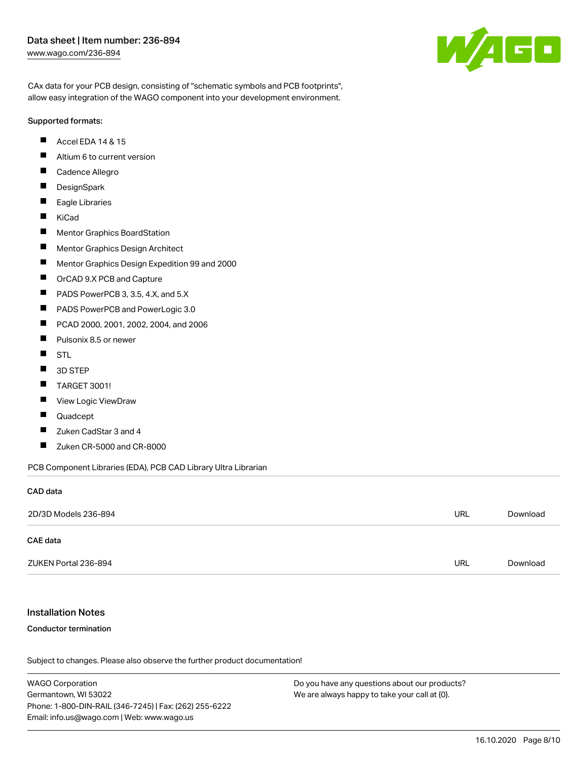#### Data sheet | Item number: 236-894 [www.wago.com/236-894](http://www.wago.com/236-894)

W/160

CAx data for your PCB design, consisting of "schematic symbols and PCB footprints", allow easy integration of the WAGO component into your development environment.

#### Supported formats:

- $\blacksquare$ Accel EDA 14 & 15
- $\blacksquare$ Altium 6 to current version
- $\blacksquare$ Cadence Allegro
- $\blacksquare$ **DesignSpark**
- $\blacksquare$ Eagle Libraries
- $\blacksquare$ KiCad
- $\blacksquare$ Mentor Graphics BoardStation
- $\blacksquare$ Mentor Graphics Design Architect
- $\blacksquare$ Mentor Graphics Design Expedition 99 and 2000
- П OrCAD 9.X PCB and Capture
- $\blacksquare$ PADS PowerPCB 3, 3.5, 4.X, and 5.X
- $\blacksquare$ PADS PowerPCB and PowerLogic 3.0
- $\blacksquare$ PCAD 2000, 2001, 2002, 2004, and 2006
- $\blacksquare$ Pulsonix 8.5 or newer
- $\blacksquare$ STL
- $\blacksquare$ 3D STEP
- $\blacksquare$ TARGET 3001!
- $\blacksquare$ View Logic ViewDraw
- П Quadcept
- П Zuken CadStar 3 and 4
- $\blacksquare$ Zuken CR-5000 and CR-8000

PCB Component Libraries (EDA), PCB CAD Library Ultra Librarian

# CAD data

| 2D/3D Models 236-894 | URL        | Download |
|----------------------|------------|----------|
| CAE data             |            |          |
| ZUKEN Portal 236-894 | <b>URL</b> | Download |

#### Installation Notes

#### Conductor termination

Subject to changes. Please also observe the further product documentation!

WAGO Corporation Germantown, WI 53022 Phone: 1-800-DIN-RAIL (346-7245) | Fax: (262) 255-6222 Email: info.us@wago.com | Web: www.wago.us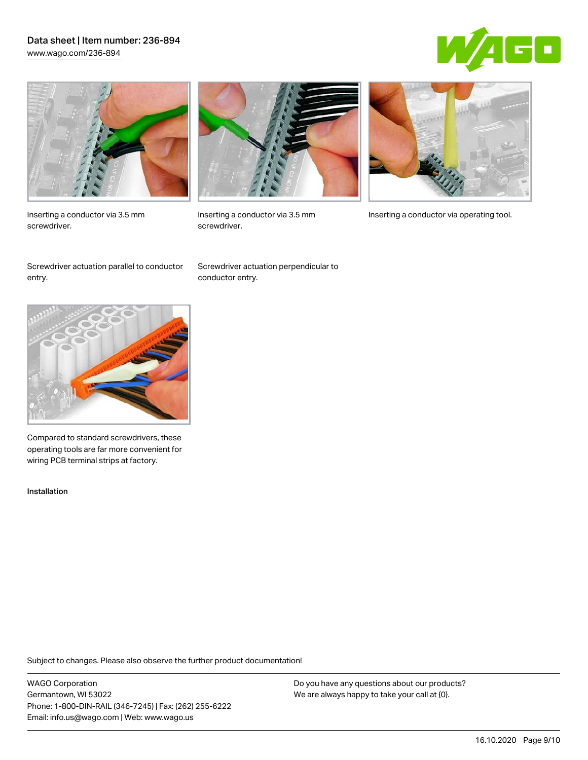#### Data sheet | Item number: 236-894 [www.wago.com/236-894](http://www.wago.com/236-894)





Inserting a conductor via 3.5 mm screwdriver.



screwdriver.

Inserting a conductor via 3.5 mm Inserting a conductor via operating tool.

Screwdriver actuation parallel to conductor entry.

Screwdriver actuation perpendicular to conductor entry.



Compared to standard screwdrivers, these operating tools are far more convenient for wiring PCB terminal strips at factory.

Installation

Subject to changes. Please also observe the further product documentation!

WAGO Corporation Germantown, WI 53022 Phone: 1-800-DIN-RAIL (346-7245) | Fax: (262) 255-6222 Email: info.us@wago.com | Web: www.wago.us